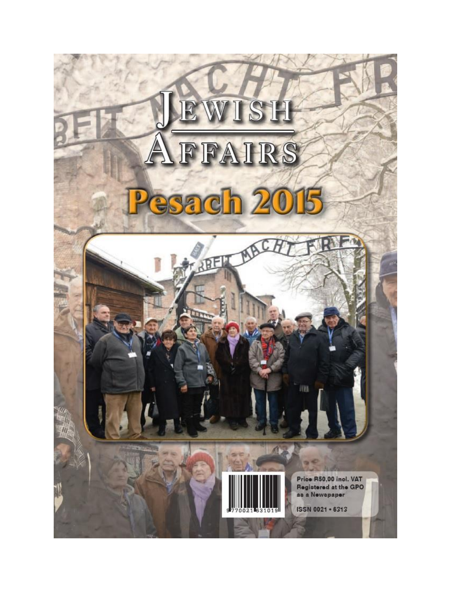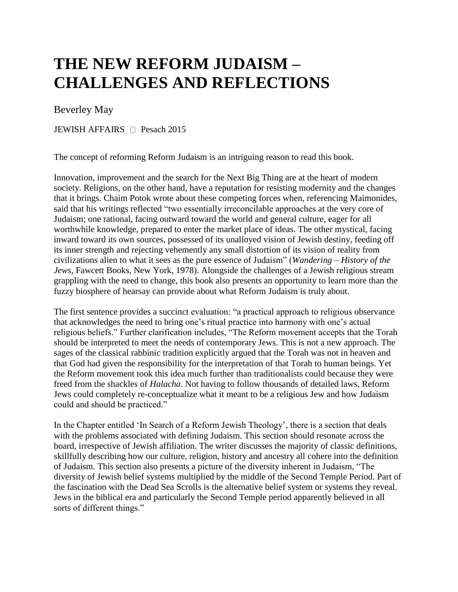## **THE NEW REFORM JUDAISM – CHALLENGES AND REFLECTIONS**

## Beverley May

JEWISH AFFAIRS  $\Box$  Pesach 2015

The concept of reforming Reform Judaism is an intriguing reason to read this book.

Innovation, improvement and the search for the Next Big Thing are at the heart of modern society. Religions, on the other hand, have a reputation for resisting modernity and the changes that it brings. Chaim Potok wrote about these competing forces when, referencing Maimonides, said that his writings reflected "two essentially irreconcilable approaches at the very core of Judaism; one rational, facing outward toward the world and general culture, eager for all worthwhile knowledge, prepared to enter the market place of ideas. The other mystical, facing inward toward its own sources, possessed of its unalloyed vision of Jewish destiny, feeding off its inner strength and rejecting vehemently any small distortion of its vision of reality from civilizations alien to what it sees as the pure essence of Judaism" (*Wandering – History of the Jews*, Fawcett Books, New York, 1978). Alongside the challenges of a Jewish religious stream grappling with the need to change, this book also presents an opportunity to learn more than the fuzzy biosphere of hearsay can provide about what Reform Judaism is truly about.

The first sentence provides a succinct evaluation: "a practical approach to religious observance that acknowledges the need to bring one's ritual practice into harmony with one's actual religious beliefs." Further clarification includes, "The Reform movement accepts that the Torah should be interpreted to meet the needs of contemporary Jews. This is not a new approach. The sages of the classical rabbinic tradition explicitly argued that the Torah was not in heaven and that God had given the responsibility for the interpretation of that Torah to human beings. Yet the Reform movement took this idea much further than traditionalists could because they were freed from the shackles of *Halacha*. Not having to follow thousands of detailed laws, Reform Jews could completely re-conceptualize what it meant to be a religious Jew and how Judaism could and should be practiced."

In the Chapter entitled 'In Search of a Reform Jewish Theology', there is a section that deals with the problems associated with defining Judaism. This section should resonate across the board, irrespective of Jewish affiliation. The writer discusses the majority of classic definitions, skillfully describing how our culture, religion, history and ancestry all cohere into the definition of Judaism. This section also presents a picture of the diversity inherent in Judaism, "The diversity of Jewish belief systems multiplied by the middle of the Second Temple Period. Part of the fascination with the Dead Sea Scrolls is the alternative belief system or systems they reveal. Jews in the biblical era and particularly the Second Temple period apparently believed in all sorts of different things."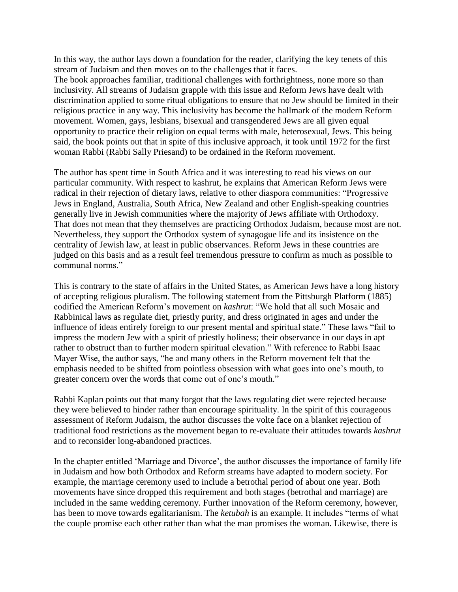In this way, the author lays down a foundation for the reader, clarifying the key tenets of this stream of Judaism and then moves on to the challenges that it faces.

The book approaches familiar, traditional challenges with forthrightness, none more so than inclusivity. All streams of Judaism grapple with this issue and Reform Jews have dealt with discrimination applied to some ritual obligations to ensure that no Jew should be limited in their religious practice in any way. This inclusivity has become the hallmark of the modern Reform movement. Women, gays, lesbians, bisexual and transgendered Jews are all given equal opportunity to practice their religion on equal terms with male, heterosexual, Jews. This being said, the book points out that in spite of this inclusive approach, it took until 1972 for the first woman Rabbi (Rabbi Sally Priesand) to be ordained in the Reform movement.

The author has spent time in South Africa and it was interesting to read his views on our particular community. With respect to kashrut, he explains that American Reform Jews were radical in their rejection of dietary laws, relative to other diaspora communities: "Progressive Jews in England, Australia, South Africa, New Zealand and other English-speaking countries generally live in Jewish communities where the majority of Jews affiliate with Orthodoxy. That does not mean that they themselves are practicing Orthodox Judaism, because most are not. Nevertheless, they support the Orthodox system of synagogue life and its insistence on the centrality of Jewish law, at least in public observances. Reform Jews in these countries are judged on this basis and as a result feel tremendous pressure to confirm as much as possible to communal norms."

This is contrary to the state of affairs in the United States, as American Jews have a long history of accepting religious pluralism. The following statement from the Pittsburgh Platform (1885) codified the American Reform's movement on *kashrut*: "We hold that all such Mosaic and Rabbinical laws as regulate diet, priestly purity, and dress originated in ages and under the influence of ideas entirely foreign to our present mental and spiritual state." These laws "fail to impress the modern Jew with a spirit of priestly holiness; their observance in our days in apt rather to obstruct than to further modern spiritual elevation." With reference to Rabbi Isaac Mayer Wise, the author says, "he and many others in the Reform movement felt that the emphasis needed to be shifted from pointless obsession with what goes into one's mouth, to greater concern over the words that come out of one's mouth."

Rabbi Kaplan points out that many forgot that the laws regulating diet were rejected because they were believed to hinder rather than encourage spirituality. In the spirit of this courageous assessment of Reform Judaism, the author discusses the volte face on a blanket rejection of traditional food restrictions as the movement began to re-evaluate their attitudes towards *kashrut*  and to reconsider long-abandoned practices.

In the chapter entitled 'Marriage and Divorce', the author discusses the importance of family life in Judaism and how both Orthodox and Reform streams have adapted to modern society. For example, the marriage ceremony used to include a betrothal period of about one year. Both movements have since dropped this requirement and both stages (betrothal and marriage) are included in the same wedding ceremony. Further innovation of the Reform ceremony, however, has been to move towards egalitarianism. The *ketubah* is an example. It includes "terms of what the couple promise each other rather than what the man promises the woman. Likewise, there is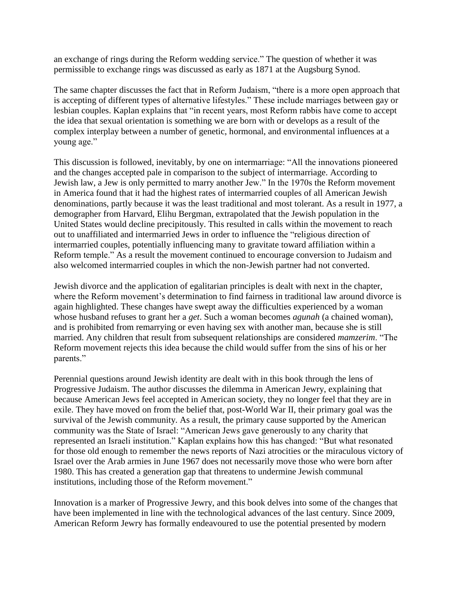an exchange of rings during the Reform wedding service." The question of whether it was permissible to exchange rings was discussed as early as 1871 at the Augsburg Synod.

The same chapter discusses the fact that in Reform Judaism, "there is a more open approach that is accepting of different types of alternative lifestyles." These include marriages between gay or lesbian couples. Kaplan explains that "in recent years, most Reform rabbis have come to accept the idea that sexual orientation is something we are born with or develops as a result of the complex interplay between a number of genetic, hormonal, and environmental influences at a young age."

This discussion is followed, inevitably, by one on intermarriage: "All the innovations pioneered and the changes accepted pale in comparison to the subject of intermarriage. According to Jewish law, a Jew is only permitted to marry another Jew." In the 1970s the Reform movement in America found that it had the highest rates of intermarried couples of all American Jewish denominations, partly because it was the least traditional and most tolerant. As a result in 1977, a demographer from Harvard, Elihu Bergman, extrapolated that the Jewish population in the United States would decline precipitously. This resulted in calls within the movement to reach out to unaffiliated and intermarried Jews in order to influence the "religious direction of intermarried couples, potentially influencing many to gravitate toward affiliation within a Reform temple." As a result the movement continued to encourage conversion to Judaism and also welcomed intermarried couples in which the non-Jewish partner had not converted.

Jewish divorce and the application of egalitarian principles is dealt with next in the chapter, where the Reform movement's determination to find fairness in traditional law around divorce is again highlighted. These changes have swept away the difficulties experienced by a woman whose husband refuses to grant her a *get*. Such a woman becomes *agunah* (a chained woman), and is prohibited from remarrying or even having sex with another man, because she is still married. Any children that result from subsequent relationships are considered *mamzerim*. "The Reform movement rejects this idea because the child would suffer from the sins of his or her parents."

Perennial questions around Jewish identity are dealt with in this book through the lens of Progressive Judaism. The author discusses the dilemma in American Jewry, explaining that because American Jews feel accepted in American society, they no longer feel that they are in exile. They have moved on from the belief that, post-World War II, their primary goal was the survival of the Jewish community. As a result, the primary cause supported by the American community was the State of Israel: "American Jews gave generously to any charity that represented an Israeli institution." Kaplan explains how this has changed: "But what resonated for those old enough to remember the news reports of Nazi atrocities or the miraculous victory of Israel over the Arab armies in June 1967 does not necessarily move those who were born after 1980. This has created a generation gap that threatens to undermine Jewish communal institutions, including those of the Reform movement."

Innovation is a marker of Progressive Jewry, and this book delves into some of the changes that have been implemented in line with the technological advances of the last century. Since 2009, American Reform Jewry has formally endeavoured to use the potential presented by modern